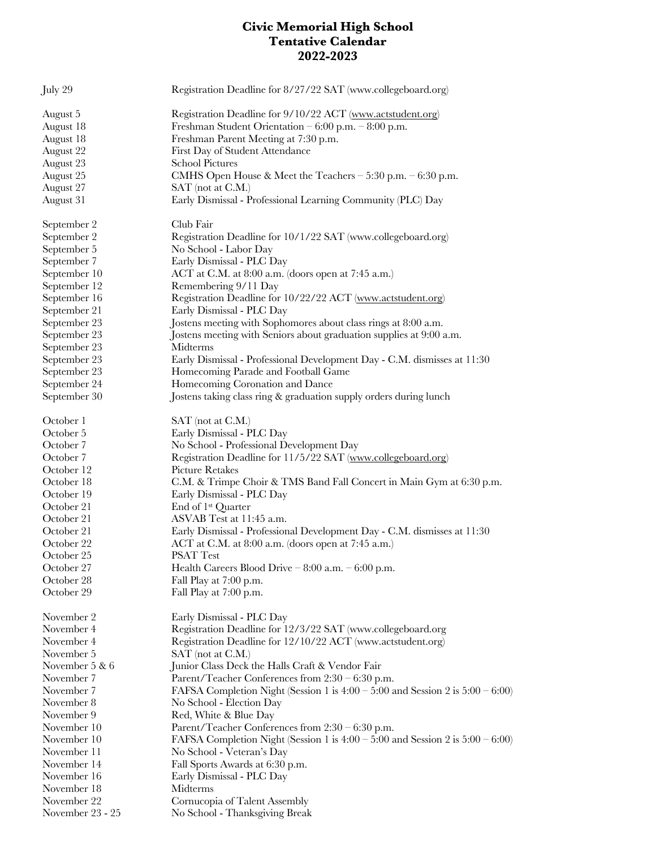## **Civic Memorial High School Tentative Calendar 2022-2023**

| July 29          | Registration Deadline for 8/27/22 SAT (www.collegeboard.org)                        |
|------------------|-------------------------------------------------------------------------------------|
| August 5         | Registration Deadline for 9/10/22 ACT (www.actstudent.org)                          |
| August 18        | Freshman Student Orientation $-6:00$ p.m. $-8:00$ p.m.                              |
| August 18        | Freshman Parent Meeting at 7:30 p.m.                                                |
| August 22        | First Day of Student Attendance                                                     |
| August 23        | <b>School Pictures</b>                                                              |
| August 25        | CMHS Open House & Meet the Teachers $-5:30$ p.m. $-6:30$ p.m.                       |
| August 27        | SAT (not at C.M.)                                                                   |
| August 31        | Early Dismissal - Professional Learning Community (PLC) Day                         |
| September 2      | Club Fair                                                                           |
| September 2      | Registration Deadline for 10/1/22 SAT (www.collegeboard.org)                        |
| September 5      | No School - Labor Day                                                               |
| September 7      | Early Dismissal - PLC Day                                                           |
| September 10     | ACT at C.M. at 8:00 a.m. (doors open at 7:45 a.m.)                                  |
| September 12     | Remembering 9/11 Day                                                                |
| September 16     | Registration Deadline for 10/22/22 ACT (www.actstudent.org)                         |
| September 21     | Early Dismissal - PLC Day                                                           |
| September 23     | Jostens meeting with Sophomores about class rings at 8:00 a.m.                      |
| September 23     | Jostens meeting with Seniors about graduation supplies at 9:00 a.m.                 |
| September 23     | Midterms                                                                            |
| September 23     | Early Dismissal - Professional Development Day - C.M. dismisses at 11:30            |
| September 23     | Homecoming Parade and Football Game                                                 |
| September 24     | Homecoming Coronation and Dance                                                     |
| September 30     | Jostens taking class ring & graduation supply orders during lunch                   |
| October 1        | $SAT$ (not at $C.M$ .)                                                              |
| October 5        | Early Dismissal - PLC Day                                                           |
| October 7        | No School - Professional Development Day                                            |
| October 7        | Registration Deadline for 11/5/22 SAT (www.collegeboard.org)                        |
| October 12       | <b>Picture Retakes</b>                                                              |
| October 18       | C.M. & Trimpe Choir & TMS Band Fall Concert in Main Gym at 6:30 p.m.                |
| October 19       | Early Dismissal - PLC Day                                                           |
| October 21       | End of 1 <sup>st</sup> Quarter                                                      |
| October 21       | ASVAB Test at 11:45 a.m.                                                            |
| October 21       | Early Dismissal - Professional Development Day - C.M. dismisses at 11:30            |
| October 22       | ACT at C.M. at 8:00 a.m. (doors open at 7:45 a.m.)                                  |
| October 25       | <b>PSAT Test</b>                                                                    |
| October 27       | Health Careers Blood Drive $-8:00$ a.m. $-6:00$ p.m.                                |
| October 28       | Fall Play at 7:00 p.m.                                                              |
| October 29       | Fall Play at 7:00 p.m.                                                              |
| November 2       | Early Dismissal - PLC Day                                                           |
| November 4       | Registration Deadline for 12/3/22 SAT (www.collegeboard.org                         |
| November 4       | Registration Deadline for 12/10/22 ACT (www.actstudent.org)                         |
| November 5       | $SAT$ (not at $C.M$ .)                                                              |
| November 5 & 6   | Junior Class Deck the Halls Craft & Vendor Fair                                     |
| November 7       | Parent/Teacher Conferences from 2:30 - 6:30 p.m.                                    |
| November 7       | FAFSA Completion Night (Session 1 is $4:00 - 5:00$ and Session 2 is $5:00 - 6:00$ ) |
| November 8       | No School - Election Day                                                            |
| November 9       | Red, White & Blue Day                                                               |
| November 10      | Parent/Teacher Conferences from $2:30 - 6:30$ p.m.                                  |
| November 10      | FAFSA Completion Night (Session 1 is $4:00 - 5:00$ and Session 2 is $5:00 - 6:00$ ) |
| November 11      | No School - Veteran's Day                                                           |
| November 14      | Fall Sports Awards at 6:30 p.m.                                                     |
| November 16      | Early Dismissal - PLC Day                                                           |
| November 18      | Midterms                                                                            |
| November 22      | Cornucopia of Talent Assembly                                                       |
| November 23 - 25 | No School - Thanksgiving Break                                                      |